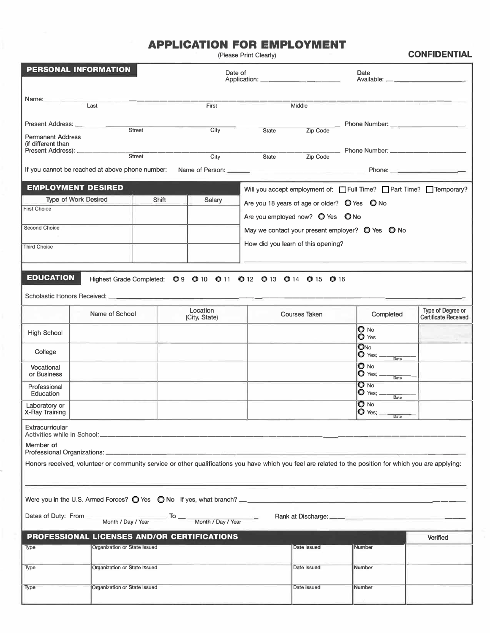## **APPLICATION FOR EMPLOYMENT**

| PERSONAL INFORMATION                           |                                                 |                              |        | Date of                                     |                                                         |                                              | Date                                                                                                                                                    |                                                  |  |
|------------------------------------------------|-------------------------------------------------|------------------------------|--------|---------------------------------------------|---------------------------------------------------------|----------------------------------------------|---------------------------------------------------------------------------------------------------------------------------------------------------------|--------------------------------------------------|--|
|                                                |                                                 |                              |        |                                             |                                                         |                                              |                                                                                                                                                         |                                                  |  |
| Name:                                          | Last                                            |                              |        | First                                       |                                                         | Middle                                       |                                                                                                                                                         |                                                  |  |
|                                                |                                                 |                              |        |                                             |                                                         |                                              |                                                                                                                                                         |                                                  |  |
|                                                |                                                 |                              |        |                                             |                                                         |                                              | _ Phone Number: ___________________                                                                                                                     |                                                  |  |
| <b>Permanent Address</b><br>(if different than |                                                 | Street                       |        | City                                        | State                                                   | Zip Code                                     |                                                                                                                                                         |                                                  |  |
| Present Address): _______                      |                                                 | <b>Street</b>                |        |                                             | State                                                   |                                              | __ Phone Number: _____________                                                                                                                          |                                                  |  |
|                                                | If you cannot be reached at above phone number: |                              |        | City                                        |                                                         | Zip Code                                     |                                                                                                                                                         |                                                  |  |
|                                                | <b>EMPLOYMENT DESIRED</b>                       |                              |        |                                             |                                                         |                                              | Will you accept employment of: Full Time? Part Time? Temporary?                                                                                         |                                                  |  |
|                                                | <b>Type of Work Desired</b>                     |                              | Shift  | <b>Salary</b>                               |                                                         | Are you 18 years of age or older? O Yes O No |                                                                                                                                                         |                                                  |  |
| <b>First Choice</b>                            |                                                 |                              |        |                                             |                                                         | Are you employed now? O Yes O No             |                                                                                                                                                         |                                                  |  |
| <b>Second Choice</b>                           |                                                 |                              |        |                                             |                                                         |                                              | May we contact your present employer? $\bigcirc$ Yes $\bigcirc$ No                                                                                      |                                                  |  |
| <b>Third Choice</b>                            |                                                 |                              |        |                                             | How did you learn of this opening?                      |                                              |                                                                                                                                                         |                                                  |  |
|                                                |                                                 |                              |        |                                             |                                                         |                                              |                                                                                                                                                         |                                                  |  |
| <b>EDUCATION</b>                               |                                                 |                              |        |                                             | Highest Grade Completed: 09 010 011 012 013 014 015 016 |                                              |                                                                                                                                                         |                                                  |  |
|                                                |                                                 |                              |        |                                             |                                                         |                                              |                                                                                                                                                         |                                                  |  |
|                                                | Name of School                                  |                              |        | Location<br>(City, State)                   |                                                         | <b>Courses Taken</b>                         | Completed                                                                                                                                               | Type of Degree or<br><b>Certificate Received</b> |  |
| <b>High School</b>                             |                                                 |                              |        |                                             |                                                         |                                              | $\bullet$ No<br>$\bullet$ Yes                                                                                                                           |                                                  |  |
| College                                        |                                                 |                              |        |                                             |                                                         |                                              | ONO<br>$\bullet$ Yes; $\_$<br>Date                                                                                                                      |                                                  |  |
| Vocational<br>or Business                      |                                                 |                              |        |                                             |                                                         |                                              | O No<br>$\bullet$ Yes; $\_$<br>Date                                                                                                                     |                                                  |  |
| Professional<br>Education                      |                                                 |                              |        |                                             |                                                         |                                              | $O$ No<br>$\bullet$ Yes; $\_$<br>Date                                                                                                                   |                                                  |  |
| Laboratory or<br>X-Ray Training                |                                                 |                              |        |                                             |                                                         |                                              | $\mathbf 0$ No<br>$ O$ Yes; $\_$                                                                                                                        |                                                  |  |
| Extracurricular                                |                                                 |                              |        |                                             |                                                         |                                              | Date                                                                                                                                                    |                                                  |  |
| Member of                                      | Professional Organizations: _____________       |                              |        |                                             |                                                         |                                              |                                                                                                                                                         |                                                  |  |
|                                                |                                                 |                              |        |                                             |                                                         |                                              | Honors received, volunteer or community service or other qualifications you have which you feel are related to the position for which you are applying: |                                                  |  |
|                                                |                                                 |                              |        |                                             |                                                         |                                              |                                                                                                                                                         |                                                  |  |
|                                                |                                                 |                              |        |                                             |                                                         |                                              | Were you in the U.S. Armed Forces? $\bigcirc$ Yes $\bigcirc$ No If yes, what branch? $\frac{1}{1}$                                                      |                                                  |  |
| Dates of Duty: From                            |                                                 | Month / Day / Year           | $-$ To | Month / Day / Year                          |                                                         | Rank at Discharge:                           |                                                                                                                                                         |                                                  |  |
|                                                |                                                 |                              |        | PROFESSIONAL LICENSES AND/OR CERTIFICATIONS |                                                         |                                              |                                                                                                                                                         | Verified                                         |  |
| Type                                           |                                                 | Organization or State Issued |        |                                             |                                                         | Date Issued                                  | Number                                                                                                                                                  |                                                  |  |
| <b>Type</b>                                    |                                                 | Organization or State Issued |        |                                             |                                                         | Date Issued                                  | Number                                                                                                                                                  |                                                  |  |
| Type                                           |                                                 | Organization or State Issued |        |                                             |                                                         | Date Issued                                  | Number                                                                                                                                                  |                                                  |  |

į,

(Please Print Clearly) **CONFIDENTIAL**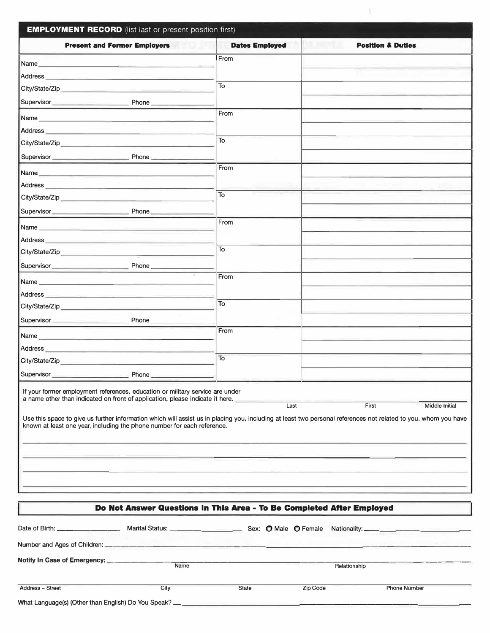| <b>Present and Former Employers</b><br>From<br>Name<br>To<br>Supervisor Phone<br>From<br>Name experience and the contract of the contract of the contract of the contract of the contract of the contract of the contract of the contract of the contract of the contract of the contract of the contract of the contra<br>Address <b>Executive Contract Contract Contract Contract Contract Contract Contract Contract Contract Contract Contract Contract Contract Contract Contract Contract Contract Contract Contract Contract Contract Contract Contr</b> | <b>Dates Employed</b> | <b>Position &amp; Duties</b> |  |  |  |  |
|-----------------------------------------------------------------------------------------------------------------------------------------------------------------------------------------------------------------------------------------------------------------------------------------------------------------------------------------------------------------------------------------------------------------------------------------------------------------------------------------------------------------------------------------------------------------|-----------------------|------------------------------|--|--|--|--|
|                                                                                                                                                                                                                                                                                                                                                                                                                                                                                                                                                                 |                       |                              |  |  |  |  |
|                                                                                                                                                                                                                                                                                                                                                                                                                                                                                                                                                                 |                       |                              |  |  |  |  |
|                                                                                                                                                                                                                                                                                                                                                                                                                                                                                                                                                                 |                       |                              |  |  |  |  |
|                                                                                                                                                                                                                                                                                                                                                                                                                                                                                                                                                                 |                       |                              |  |  |  |  |
|                                                                                                                                                                                                                                                                                                                                                                                                                                                                                                                                                                 |                       |                              |  |  |  |  |
|                                                                                                                                                                                                                                                                                                                                                                                                                                                                                                                                                                 |                       |                              |  |  |  |  |
|                                                                                                                                                                                                                                                                                                                                                                                                                                                                                                                                                                 |                       |                              |  |  |  |  |
| To                                                                                                                                                                                                                                                                                                                                                                                                                                                                                                                                                              |                       |                              |  |  |  |  |
| Supervisor Phone Phone                                                                                                                                                                                                                                                                                                                                                                                                                                                                                                                                          |                       |                              |  |  |  |  |
| From                                                                                                                                                                                                                                                                                                                                                                                                                                                                                                                                                            |                       |                              |  |  |  |  |
|                                                                                                                                                                                                                                                                                                                                                                                                                                                                                                                                                                 |                       |                              |  |  |  |  |
| To<br>City/State/Zip                                                                                                                                                                                                                                                                                                                                                                                                                                                                                                                                            |                       |                              |  |  |  |  |
|                                                                                                                                                                                                                                                                                                                                                                                                                                                                                                                                                                 |                       |                              |  |  |  |  |
| From<br>Name and the contract of the contract of the contract of the contract of the contract of the contract of the contract of the contract of the contract of the contract of the contract of the contract of the contract of the c                                                                                                                                                                                                                                                                                                                          |                       |                              |  |  |  |  |
| Address <b>Executive Contract Contract Contract Contract Contract Contract Contract Contract Contract Contract Contract Contract Contract Contract Contract Contract Contract Contract Contract Contract Contract Contract Contr</b>                                                                                                                                                                                                                                                                                                                            |                       |                              |  |  |  |  |
| To                                                                                                                                                                                                                                                                                                                                                                                                                                                                                                                                                              |                       |                              |  |  |  |  |
| Supervisor Phone                                                                                                                                                                                                                                                                                                                                                                                                                                                                                                                                                |                       |                              |  |  |  |  |
| From<br>Name experience and the second contract of the second contract of the second contract of the second contract of                                                                                                                                                                                                                                                                                                                                                                                                                                         |                       |                              |  |  |  |  |
| Address <b>Executive Contract Contract Contract Contract Contract Contract Contract Contract Contract Contract Contract Contract Contract Contract Contract Contract Contract Contract Contract Contract Contract Contract Contr</b>                                                                                                                                                                                                                                                                                                                            |                       |                              |  |  |  |  |
| To                                                                                                                                                                                                                                                                                                                                                                                                                                                                                                                                                              |                       |                              |  |  |  |  |
| Supervisor Phone Phone                                                                                                                                                                                                                                                                                                                                                                                                                                                                                                                                          |                       |                              |  |  |  |  |
| From                                                                                                                                                                                                                                                                                                                                                                                                                                                                                                                                                            |                       |                              |  |  |  |  |
| Address experiences and the contract of the contract of the contract of the contract of the contract of the contract of the contract of the contract of the contract of the contract of the contract of the contract of the co                                                                                                                                                                                                                                                                                                                                  |                       |                              |  |  |  |  |
| To                                                                                                                                                                                                                                                                                                                                                                                                                                                                                                                                                              |                       |                              |  |  |  |  |
|                                                                                                                                                                                                                                                                                                                                                                                                                                                                                                                                                                 |                       |                              |  |  |  |  |
| If your former employment references, education or military service are under<br>a name other than indicated on front of application, please indicate it here.<br>Last<br>Middle Initial<br>First<br>Use this space to give us further information which will assist us in placing you, including at least two personal references not related to you, whom you have<br>known at least one year, including the phone number for each reference.                                                                                                                 |                       |                              |  |  |  |  |
|                                                                                                                                                                                                                                                                                                                                                                                                                                                                                                                                                                 |                       |                              |  |  |  |  |
| Do Not Answer Questions In This Area - To Be Completed After Employed                                                                                                                                                                                                                                                                                                                                                                                                                                                                                           |                       |                              |  |  |  |  |

 $\frac{1}{3}$ 

|                                                                                  | Marital Status: <u>_______________________</u> |       |              |                     |  |  |  |
|----------------------------------------------------------------------------------|------------------------------------------------|-------|--------------|---------------------|--|--|--|
|                                                                                  |                                                |       |              |                     |  |  |  |
| Notify In Case of Emergency: ________________                                    | Name                                           |       | Relationship |                     |  |  |  |
| Address - Street                                                                 | City                                           | State | Zip Code     | <b>Phone Number</b> |  |  |  |
| What Language(s) (Other than English) Do You Speak? ____________________________ |                                                |       |              |                     |  |  |  |